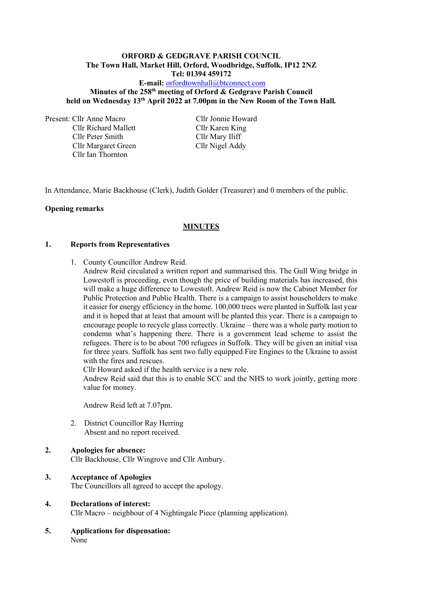#### **ORFORD & GEDGRAVE PARISH COUNCIL The Town Hall, Market Hill, Orford, Woodbridge, Suffolk. IP12 2NZ Tel: 01394 459172**

**E-mail:** [orfordtownhall@btconnect.com](mailto:orfordtownhall@btconnect.com)

# **Minutes of the 258 th meeting of Orford & Gedgrave Parish Council held on Wednesday 13 th April 2022 at 7.00pm in the New Room of the Town Hall***.*

Present: Cllr Anne Macro Cllr Jonnie Howard

Cllr Richard Mallett Cllr Karen King Cllr Peter Smith Cllr Mary Iliff Cllr Margaret Green Cllr Nigel Addy Cllr Ian Thornton

In Attendance, Marie Backhouse (Clerk), Judith Golder (Treasurer) and 0 members of the public.

# **Opening remarks**

# **MINUTES**

### **1. Reports from Representatives**

- 1. County Councillor Andrew Reid.
	- Andrew Reid circulated a written report and summarised this. The Gull Wing bridge in Lowestoft is proceeding, even though the price of building materials has increased, this will make a huge difference to Lowestoft. Andrew Reid is now the Cabinet Member for Public Protection and Public Health. There is a campaign to assist householders to make it easier for energy efficiency in the home. 100,000 trees were planted in Suffolk last year and it is hoped that at least that amount will be planted this year. There is a campaign to encourage people to recycle glass correctly. Ukraine – there was a whole party motion to condemn what's happening there. There is a government lead scheme to assist the refugees. There is to be about 700 refugees in Suffolk. They will be given an initial visa for three years. Suffolk has sent two fully equipped Fire Engines to the Ukraine to assist with the fires and rescues.

Cllr Howard asked if the health service is a new role.

Andrew Reid said that this is to enable SCC and the NHS to work jointly, getting more value for money.

Andrew Reid left at 7.07pm.

2. District Councillor Ray Herring Absent and no report received.

### **2. Apologies for absence:**

Cllr Backhouse, Cllr Wingrove and Cllr Ambury.

### **3. Acceptance of Apologies**

The Councillors all agreed to accept the apology.

### **4. Declarations of interest:**

Cllr Macro – neighbour of 4 Nightingale Piece (planning application).

**5. Applications for dispensation:** None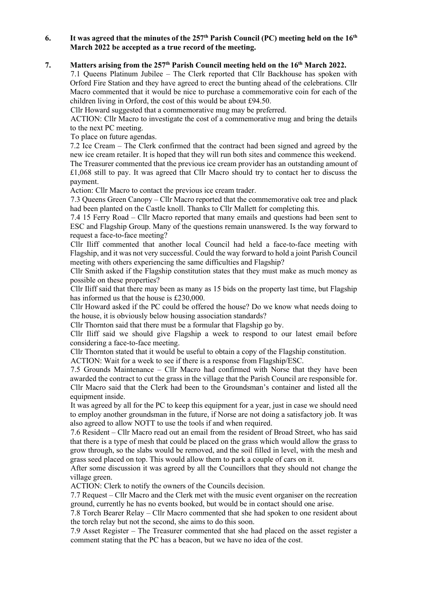### **6. It was agreed that the minutes of the 257 th Parish Council (PC) meeting held on the 16th March 2022 be accepted as a true record of the meeting.**

#### **7. Matters arising from the 257 th Parish Council meeting held on the 16th March 2022.**

7.1 Queens Platinum Jubilee – The Clerk reported that Cllr Backhouse has spoken with Orford Fire Station and they have agreed to erect the bunting ahead of the celebrations. Cllr Macro commented that it would be nice to purchase a commemorative coin for each of the children living in Orford, the cost of this would be about £94.50.

Cllr Howard suggested that a commemorative mug may be preferred.

ACTION: Cllr Macro to investigate the cost of a commemorative mug and bring the details to the next PC meeting.

To place on future agendas.

7.2 Ice Cream – The Clerk confirmed that the contract had been signed and agreed by the new ice cream retailer. It is hoped that they will run both sites and commence this weekend. The Treasurer commented that the previous ice cream provider has an outstanding amount of £1,068 still to pay. It was agreed that Cllr Macro should try to contact her to discuss the payment.

Action: Cllr Macro to contact the previous ice cream trader.

7.3 Queens Green Canopy – Cllr Macro reported that the commemorative oak tree and plack had been planted on the Castle knoll. Thanks to Cllr Mallett for completing this.

7.4 15 Ferry Road – Cllr Macro reported that many emails and questions had been sent to ESC and Flagship Group. Many of the questions remain unanswered. Is the way forward to request a face-to-face meeting?

Cllr Iliff commented that another local Council had held a face-to-face meeting with Flagship, and it was not very successful. Could the way forward to hold a joint Parish Council meeting with others experiencing the same difficulties and Flagship?

Cllr Smith asked if the Flagship constitution states that they must make as much money as possible on these properties?

Cllr Iliff said that there may been as many as 15 bids on the property last time, but Flagship has informed us that the house is £230,000.

Cllr Howard asked if the PC could be offered the house? Do we know what needs doing to the house, it is obviously below housing association standards?

Cllr Thornton said that there must be a formular that Flagship go by.

Cllr Iliff said we should give Flagship a week to respond to our latest email before considering a face-to-face meeting.

Cllr Thornton stated that it would be useful to obtain a copy of the Flagship constitution.

ACTION: Wait for a week to see if there is a response from Flagship/ESC.

7.5 Grounds Maintenance – Cllr Macro had confirmed with Norse that they have been awarded the contract to cut the grass in the village that the Parish Council are responsible for. Cllr Macro said that the Clerk had been to the Groundsman's container and listed all the equipment inside.

It was agreed by all for the PC to keep this equipment for a year, just in case we should need to employ another groundsman in the future, if Norse are not doing a satisfactory job. It was also agreed to allow NOTT to use the tools if and when required.

7.6 Resident – Cllr Macro read out an email from the resident of Broad Street, who has said that there is a type of mesh that could be placed on the grass which would allow the grass to grow through, so the slabs would be removed, and the soil filled in level, with the mesh and grass seed placed on top. This would allow them to park a couple of cars on it.

After some discussion it was agreed by all the Councillors that they should not change the village green.

ACTION: Clerk to notify the owners of the Councils decision.

7.7 Request – Cllr Macro and the Clerk met with the music event organiser on the recreation ground, currently he has no events booked, but would be in contact should one arise.

7.8 Torch Bearer Relay – Cllr Macro commented that she had spoken to one resident about the torch relay but not the second, she aims to do this soon.

7.9 Asset Register – The Treasurer commented that she had placed on the asset register a comment stating that the PC has a beacon, but we have no idea of the cost.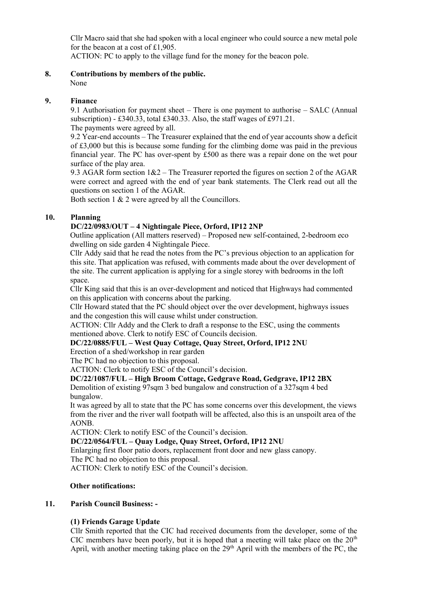Cllr Macro said that she had spoken with a local engineer who could source a new metal pole for the beacon at a cost of £1,905.

ACTION: PC to apply to the village fund for the money for the beacon pole.

# **8. Contributions by members of the public.**

None

### **9. Finance**

9.1 Authorisation for payment sheet – There is one payment to authorise – SALC (Annual subscription) - £340.33, total £340.33. Also, the staff wages of £971.21. The payments were agreed by all.

9.2 Year-end accounts – The Treasurer explained that the end of year accounts show a deficit of £3,000 but this is because some funding for the climbing dome was paid in the previous financial year. The PC has over-spent by £500 as there was a repair done on the wet pour surface of the play area.

9.3 AGAR form section  $1&2$  – The Treasurer reported the figures on section 2 of the AGAR were correct and agreed with the end of year bank statements. The Clerk read out all the questions on section 1 of the AGAR.

Both section 1 & 2 were agreed by all the Councillors.

# **10. Planning**

# **DC/22/0983/OUT – 4 Nightingale Piece, Orford, IP12 2NP**

Outline application (All matters reserved) – Proposed new self-contained, 2-bedroom eco dwelling on side garden 4 Nightingale Piece.

Cllr Addy said that he read the notes from the PC's previous objection to an application for this site. That application was refused, with comments made about the over development of the site. The current application is applying for a single storey with bedrooms in the loft space.

Cllr King said that this is an over-development and noticed that Highways had commented on this application with concerns about the parking.

Cllr Howard stated that the PC should object over the over development, highways issues and the congestion this will cause whilst under construction.

ACTION: Cllr Addy and the Clerk to draft a response to the ESC, using the comments mentioned above. Clerk to notify ESC of Councils decision.

### **DC/22/0885/FUL – West Quay Cottage, Quay Street, Orford, IP12 2NU**

Erection of a shed/workshop in rear garden

The PC had no objection to this proposal.

ACTION: Clerk to notify ESC of the Council's decision.

### **DC/22/1087/FUL – High Broom Cottage, Gedgrave Road, Gedgrave, IP12 2BX**

Demolition of existing 97sqm 3 bed bungalow and construction of a 327sqm 4 bed bungalow.

It was agreed by all to state that the PC has some concerns over this development, the views from the river and the river wall footpath will be affected, also this is an unspoilt area of the AONB.

ACTION: Clerk to notify ESC of the Council's decision.

### **DC/22/0564/FUL – Quay Lodge, Quay Street, Orford, IP12 2NU**

Enlarging first floor patio doors, replacement front door and new glass canopy.

The PC had no objection to this proposal.

ACTION: Clerk to notify ESC of the Council's decision.

### **Other notifications:**

### **11. Parish Council Business: -**

### **(1) Friends Garage Update**

Cllr Smith reported that the CIC had received documents from the developer, some of the CIC members have been poorly, but it is hoped that a meeting will take place on the  $20<sup>th</sup>$ April, with another meeting taking place on the  $29<sup>th</sup>$  April with the members of the PC, the